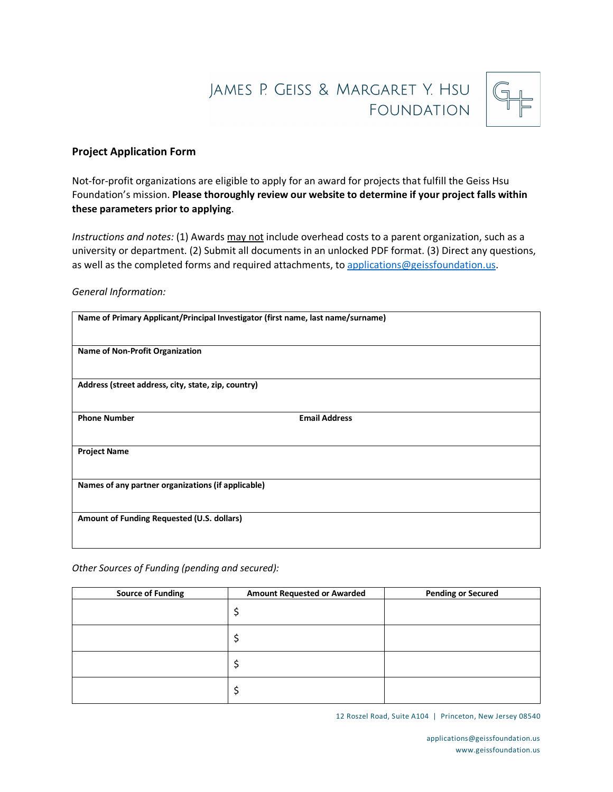# JAMES P. GEISS & MARGARET Y. HSU **FOUNDATION**



# **Project Application Form**

Not-for-profit organizations are eligible to apply for an award for projects that fulfill the Geiss Hsu Foundation's mission. **Please thoroughly review our website to determine if your project falls within these parameters prior to applying**.

*Instructions and notes:* (1) Awards may not include overhead costs to a parent organization, such as a university or department. (2) Submit all documents in an unlocked PDF format. (3) Direct any questions, as well as the completed forms and required attachments, to applications@geissfoundation.us.

### *General Information:*

| Name of Primary Applicant/Principal Investigator (first name, last name/surname) |                      |  |
|----------------------------------------------------------------------------------|----------------------|--|
| <b>Name of Non-Profit Organization</b>                                           |                      |  |
| Address (street address, city, state, zip, country)                              |                      |  |
| <b>Phone Number</b>                                                              | <b>Email Address</b> |  |
| <b>Project Name</b>                                                              |                      |  |
| Names of any partner organizations (if applicable)                               |                      |  |
| Amount of Funding Requested (U.S. dollars)                                       |                      |  |
|                                                                                  |                      |  |

#### *Other Sources of Funding (pending and secured):*

| <b>Source of Funding</b> | <b>Amount Requested or Awarded</b> | <b>Pending or Secured</b> |
|--------------------------|------------------------------------|---------------------------|
|                          |                                    |                           |
|                          |                                    |                           |
|                          |                                    |                           |
|                          |                                    |                           |

12 Roszel Road, Suite A104 | Princeton, New Jersey 08540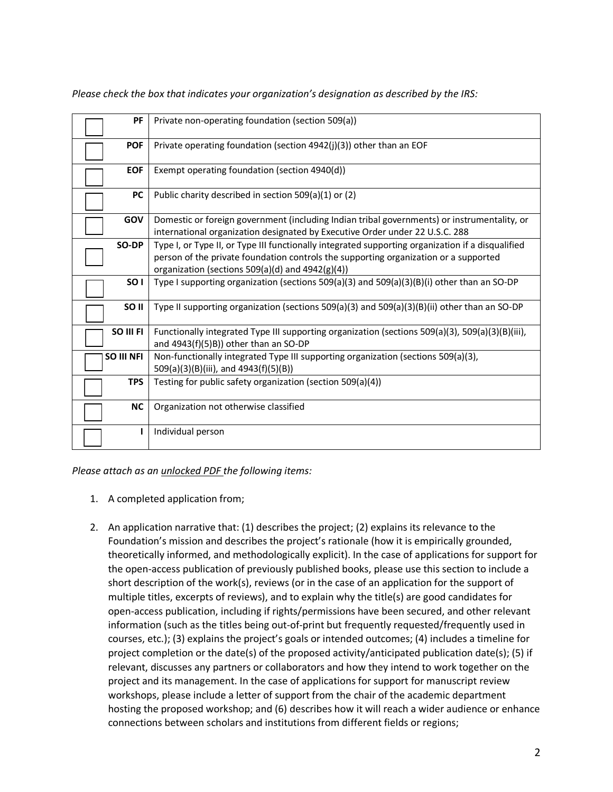| PF               | Private non-operating foundation (section 509(a))                                                                                                                                                                                             |
|------------------|-----------------------------------------------------------------------------------------------------------------------------------------------------------------------------------------------------------------------------------------------|
| <b>POF</b>       | Private operating foundation (section 4942(j)(3)) other than an EOF                                                                                                                                                                           |
| <b>EOF</b>       | Exempt operating foundation (section 4940(d))                                                                                                                                                                                                 |
| <b>PC</b>        | Public charity described in section 509(a)(1) or (2)                                                                                                                                                                                          |
| <b>GOV</b>       | Domestic or foreign government (including Indian tribal governments) or instrumentality, or<br>international organization designated by Executive Order under 22 U.S.C. 288                                                                   |
| SO-DP            | Type I, or Type II, or Type III functionally integrated supporting organization if a disqualified<br>person of the private foundation controls the supporting organization or a supported<br>organization (sections 509(a)(d) and 4942(g)(4)) |
| SO <sub>1</sub>  | Type I supporting organization (sections $509(a)(3)$ and $509(a)(3)(B)(i)$ other than an SO-DP                                                                                                                                                |
| SO <sub>II</sub> | Type II supporting organization (sections 509(a)(3) and 509(a)(3)(B)(ii) other than an SO-DP                                                                                                                                                  |
| SO III FI        | Functionally integrated Type III supporting organization (sections $509(a)(3)$ , $509(a)(3)(B)(iii)$ ,<br>and 4943(f)(5)B)) other than an SO-DP                                                                                               |
| SO III NFI       | Non-functionally integrated Type III supporting organization (sections 509(a)(3),<br>509(a)(3)(B)(iii), and 4943(f)(5)(B))                                                                                                                    |
| <b>TPS</b>       | Testing for public safety organization (section 509(a)(4))                                                                                                                                                                                    |
| <b>NC</b>        | Organization not otherwise classified                                                                                                                                                                                                         |
|                  | Individual person                                                                                                                                                                                                                             |

*Please check the box that indicates your organization's designation as described by the IRS:*

*Please attach as an unlocked PDF the following items:*

- 1. A completed application from;
- 2. An application narrative that: (1) describes the project; (2) explains its relevance to the Foundation's mission and describes the project's rationale (how it is empirically grounded, theoretically informed, and methodologically explicit). In the case of applications for support for the open-access publication of previously published books, please use this section to include a short description of the work(s), reviews (or in the case of an application for the support of multiple titles, excerpts of reviews), and to explain why the title(s) are good candidates for open-access publication, including if rights/permissions have been secured, and other relevant information (such as the titles being out-of-print but frequently requested/frequently used in courses, etc.); (3) explains the project's goals or intended outcomes; (4) includes a timeline for project completion or the date(s) of the proposed activity/anticipated publication date(s); (5) if relevant, discusses any partners or collaborators and how they intend to work together on the project and its management. In the case of applications for support for manuscript review workshops, please include a letter of support from the chair of the academic department hosting the proposed workshop; and (6) describes how it will reach a wider audience or enhance connections between scholars and institutions from different fields or regions;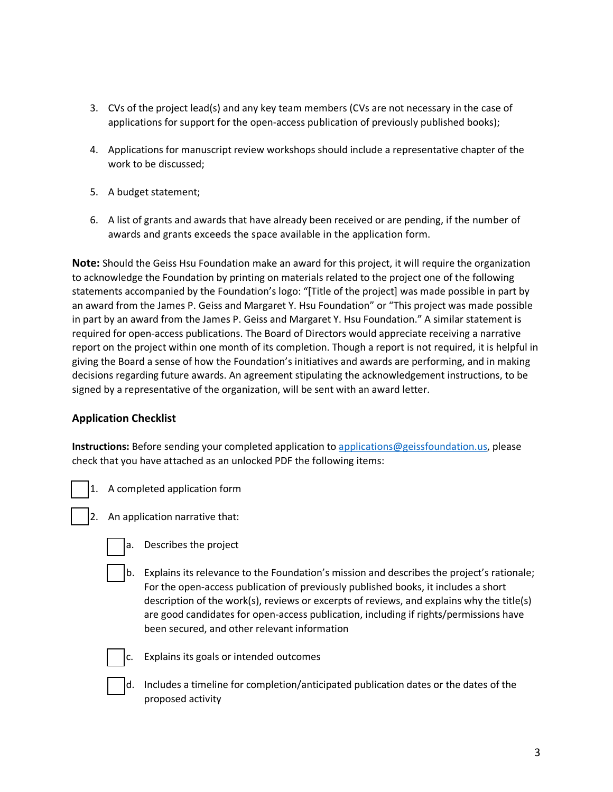- 3. CVs of the project lead(s) and any key team members (CVs are not necessary in the case of applications for support for the open-access publication of previously published books);
- 4. Applications for manuscript review workshops should include a representative chapter of the work to be discussed;
- 5. A budget statement;
- 6. A list of grants and awards that have already been received or are pending, if the number of awards and grants exceeds the space available in the application form.

**Note:** Should the Geiss Hsu Foundation make an award for this project, it will require the organization to acknowledge the Foundation by printing on materials related to the project one of the following statements accompanied by the Foundation's logo: "[Title of the project] was made possible in part by an award from the James P. Geiss and Margaret Y. Hsu Foundation" or "This project was made possible in part by an award from the James P. Geiss and Margaret Y. Hsu Foundation." A similar statement is required for open-access publications. The Board of Directors would appreciate receiving a narrative report on the project within one month of its completion. Though a report is not required, it is helpful in giving the Board a sense of how the Foundation's initiatives and awards are performing, and in making decisions regarding future awards. An agreement stipulating the acknowledgement instructions, to be signed by a representative of the organization, will be sent with an award letter.

# **Application Checklist**

**Instructions:** Before sending your completed application to applications@geissfoundation.us, please check that you have attached as an unlocked PDF the following items:

- 1. A completed application form
- 2. An application narrative that:
	- - a. Describes the project
		- b. Explains its relevance to the Foundation's mission and describes the project's rationale; For the open-access publication of previously published books, it includes a short description of the work(s), reviews or excerpts of reviews, and explains why the title(s) are good candidates for open-access publication, including if rights/permissions have been secured, and other relevant information



c. Explains its goals or intended outcomes

d. Includes a timeline for completion/anticipated publication dates or the dates of the proposed activity